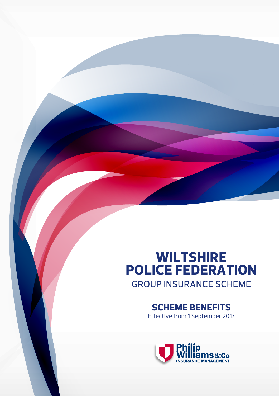# **WILTSHIRE POLICE FEDERATION**  GROUP INSURANCE SCHEME

**SCHEME BENEFITS** Effective from 1 September 2017

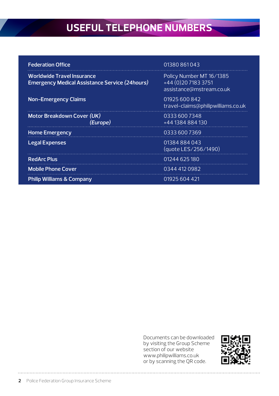# **USEFUL TELEPHONE NUMBERS**

| <b>Federation Office</b>                                                                   | 01380861043                                                                  |
|--------------------------------------------------------------------------------------------|------------------------------------------------------------------------------|
| <b>Worldwide Travel Insurance</b><br><b>Emergency Medical Assistance Service (24hours)</b> | Policy Number MT 16/1385<br>+44 (0) 20 7183 3751<br>assistance@mstream.co.uk |
| <b>Non-Emergency Claims</b>                                                                | 01925 600 842<br>travel-claims@philipwilliams.co.uk                          |
| Motor Breakdown Cover (UK)<br>(Europe)                                                     | 0333 600 7348<br>+44 1384 884 130                                            |
| <b>Home Emergency</b>                                                                      | 0333 600 7369                                                                |
| <b>Legal Expenses</b>                                                                      | 01384 884 043<br>(quote LES/256/1490)                                        |
| <b>RedArc Plus</b>                                                                         | 01244 625 180                                                                |
| <b>Mobile Phone Cover</b>                                                                  | 0344 412 0982                                                                |
| <b>Philip Williams &amp; Company</b>                                                       | 01925 604 421                                                                |

Documents can be downloaded by visiting the Group Scheme section of our website www.philipwilliams.co.uk or by scanning the QR code.

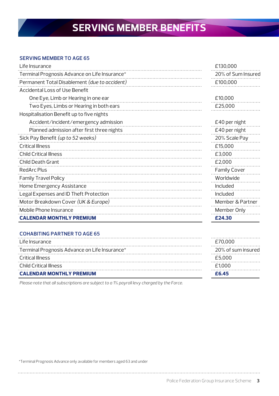# **SERVING MEMBER BENEFITS**

## **SERVING MEMBER TO AGE 65**

| <b>CALENDAR MONTHLY PREMIUM</b>               | £24.30              |
|-----------------------------------------------|---------------------|
| Mobile Phone Insurance                        | Member Only         |
| Motor Breakdown Cover (UK & Europe)           | Member & Partner    |
| Legal Expenses and ID Theft Protection        | Included            |
| Home Emergency Assistance                     | Included            |
| Family Travel Policy                          | Worldwide           |
| RedArc Plus                                   | <b>Family Cover</b> |
| Child Death Grant                             | £2,000              |
| <b>Child Critical Illness</b>                 | £3,000              |
| <b>Critical Illness</b>                       | £15,000             |
| Sick Pay Benefit (up to 52 weeks)             | 20% Scale Pay       |
| Planned admission after first three nights    | £40 per night       |
| Accident/incident/emergency admission         | £40 per night       |
| Hospitalisation Benefit up to five nights     |                     |
| Two Eyes, Limbs or Hearing in both ears       | £25,000             |
| One Eye, Limb or Hearing in one ear           | £10,000             |
| Accidental Loss of Use Benefit                |                     |
| Permanent Total Disablement (due to accident) | £100,000            |
| Terminal Prognosis Advance on Life Insurance* | 20% of Sum Insured  |
| Life Insurance                                | £130,000            |

#### **COHABITING PARTNER TO AGE 65**

| <b>CALENDAR MONTHLY PREMIUM</b>               | <b>F645</b>        |
|-----------------------------------------------|--------------------|
| Child Critical Illness                        | £1.000             |
| Critical Illness                              | £5.000             |
| Terminal Prognosis Advance on Life Insurance* | 20% of sum insured |
| Life Insurance                                | £70,000            |

*Please note that all subscriptions are subject to a 1% payroll levy charged by the Force.*

\*Terminal Prognosis Advance only available for members aged 63 and under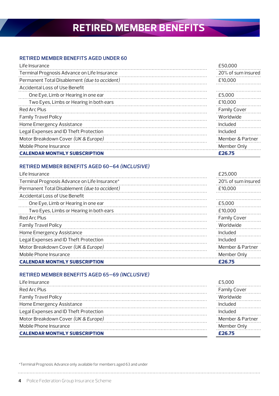# **RETIRED MEMBER BENEFITS**

## **RETIRED MEMBER BENEFITS AGED UNDER 60**

| <b>CALENDAR MONTHLY SUBSCRIPTION</b>          | £26.75             |
|-----------------------------------------------|--------------------|
| Mobile Phone Insurance                        | Member Only        |
| Motor Breakdown Cover (UK & Europe)           | Member & Partner   |
| Legal Expenses and ID Theft Protection        | Included           |
| Home Emergency Assistance                     | Included           |
| <b>Family Travel Policy</b>                   | Worldwide          |
| Red Arc Plus                                  | Family Cover       |
| Two Eyes, Limbs or Hearing in both ears       | £10,000            |
| One Eye, Limb or Hearing in one ear           | £5,000             |
| Accidental Loss of Use Benefit                |                    |
| Permanent Total Disablement (due to accident) | £10,000            |
| Terminal Prognosis Advance on Life Insurance  | 20% of sum insured |
| Life Insurance                                | £50.000            |

### **RETIRED MEMBER BENEFITS AGED 60–64** *(INCLUSIVE)*

| <b>CALENDAR MONTHLY SUBSCRIPTION</b>          | £26.75              |
|-----------------------------------------------|---------------------|
| Mobile Phone Insurance                        | Member Only         |
| Motor Breakdown Cover (UK & Europe)           | Member & Partner    |
| Legal Expenses and ID Theft Protection        | Included            |
| Home Emergency Assistance                     | Included            |
| Family Travel Policy                          | Worldwide           |
| Red Arc Plus                                  | <b>Family Cover</b> |
| Two Eyes, Limbs or Hearing in both ears       | £10,000             |
| One Eye, Limb or Hearing in one ear           | £5.000              |
| Accidental Loss of Use Benefit                |                     |
| Permanent Total Disablement (due to accident) | £10,000             |
| Terminal Prognosis Advance on Life Insurance* | 20% of sum insured  |
| Life Insurance                                | £25,000             |

## **RETIRED MEMBER BENEFITS AGED 65–69** *(INCLUSIVE)*

| <b>CALENDAR MONTHLY SUBSCRIPTION</b>   | F26.75              |
|----------------------------------------|---------------------|
| Mobile Phone Insurance                 | Member Only         |
| Motor Breakdown Cover (UK & Europe)    | Member & Partner    |
| Legal Expenses and ID Theft Protection | Included            |
| Home Emergency Assistance              | Included            |
| <b>Family Travel Policy</b>            | Worldwide           |
| Red Arc Plus                           | <b>Family Cover</b> |
| Life Insurance                         | £5,000              |

\*Terminal Prognosis Advance only available for members aged 63 and under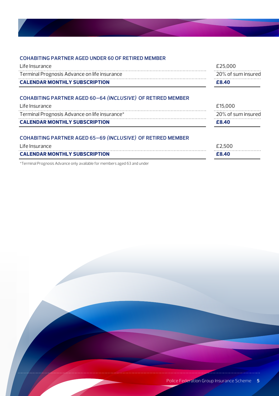## **COHABITING PARTNER AGED UNDER 60 OF RETIRED MEMBER**

| Life Insurance                               | £25.000                |
|----------------------------------------------|------------------------|
| Terminal Prognosis Advance on life insurance | <br>20% of sum insured |
| <b>CALENDAR MONTHLY SUBSCRIPTION</b>         | <br><b>FR40</b>        |

## **COHABITING PARTNER AGED 60–64** *(INCLUSIVE)* **OF RETIRED MEMBER**

| <b>CALENDAR MONTHLY SUBSCRIPTION</b>          | <b>FR40</b>        |
|-----------------------------------------------|--------------------|
| Terminal Prognosis Advance on life insurance* | 20% of sum insured |
|                                               |                    |
| Life Insurance                                | £15.000            |
|                                               |                    |

### **COHABITING PARTNER AGED 65–69** *(INCLUSIVE)* **OF RETIRED MEMBER**

| Life Insurance                       | £2.500 |
|--------------------------------------|--------|
|                                      |        |
| <b>CALENDAR MONTHLY SUBSCRIPTION</b> | £8.40  |

\*Terminal Prognosis Advance only available for members aged 63 and under

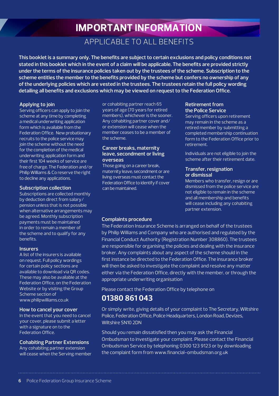# **IMPORTANT INFORMATION**

# APPLICABLE TO ALL BENEFITS

**This booklet is a summary only. The benefits are subject to certain exclusions and policy conditions not stated in this booklet which in the event of a claim will be applicable. The benefits are provided strictly under the terms of the insurance policies taken out by the trustees of the scheme. Subscription to the scheme entitles the member to the benefits provided by the scheme but confers no ownership of any of the underlying policies which are vested in the trustees. The trustees retain the full policy wording detailing all benefits and exclusions which may be viewed on request to the Federation Office.**

#### **Applying to join**

Serving officers can apply to join the scheme at any time by completing a medical underwriting application form which is available from the Federation Office. New probationary recruits to the police service may join the scheme without the need for the completion of the medical underwriting application form and their first 104 weeks of service are free of charge. The Federation and/or Philip Williams & Co reserve the right to decline any applications.

#### **Subscription collection**

Subscriptions are collected monthly by deduction direct from salary/ pension unless that is not possible when alternative arrangements may be agreed. Monthly subscription payments must be maintained in order to remain a member of the scheme and to qualify for any benefits.

#### **Insurers**

A list of the insurers is available on request. Full policy wordings for certain policy sections are available to download via QR codes. These may also be available at the Federation Office, on the Federation Website or by visiting the Group Scheme section of www.philipwilliams.co.uk

#### **How to cancel your cover**

In the event that you need to cancel your cover, please submit a letter with a signature on to the Federation Office.

#### **Cohabiting Partner Extensions**

Any cohabiting partner extension will cease when the Serving member or cohabiting partner reach 65 years of age (70 years for retired members), whichever is the sooner. Any cohabiting partner cover and/ or extension will cease when the member ceases to be a member of the scheme.

#### **Career breaks, maternity leave, secondment or living overseas**

Those going on a career break, maternity leave, secondment or are living overseas must contact the Federation Office to identify if cover can be maintained.

#### **Retirement from the Police Service**

Serving officers upon retirement may remain in the scheme as a retired member by submitting a completed membership continuation form to the Federation Office prior to retirement.

Individuals are not eligible to join the scheme after their retirement date.

#### **Transfer, resignation or dismissal**

Members who transfer, resign or are dismissed from the police service are not eligible to remain in the scheme and all membership and benefits will cease including any cohabiting partner extension.

#### **Complaints procedure**

The Federation Insurance Scheme is arranged on behalf of the trustees by Philip Williams and Company who are authorised and regulated by the Financial Conduct Authority (Registration Number 308860). The trustees are responsible for organising the policies and dealing with the insurance broker. Any complaints about any aspect of the scheme should in the first instance be directed to the Federation Office. The insurance broker will then be asked to investigate the complaint and resolve any matter either via the Federation Office, directly with the member, or through the appropriate underwriting organisation

Please contact the Federation Office by telephone on

# **01380 861 043**

Or simply write, giving details of your complaint to The Secretary, Wiltshire Police, Federation Office, Police Headquarters, London Road, Devizes, Wiltshire SN10 2DN

Should you remain dissatisfied then you may ask the Financial Ombudsman to investigate your complaint. Please contact the Financial Ombudsman Service by telephoning 0300 123 9123 or by downloading the complaint form from www.financial-ombudsman.org.uk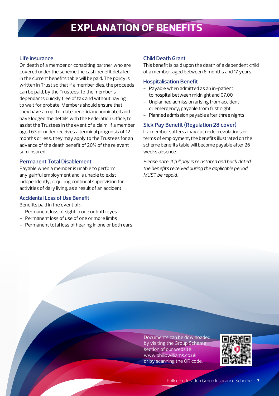# **EXPLANATION OF BENEFITS**

### **Life insurance**

On death of a member or cohabiting partner who are covered under the scheme the cash benefit detailed in the current benefits table will be paid. The policy is written in Trust so that if a member dies, the proceeds can be paid, by the Trustees, to the member's dependants quickly free of tax and without having to wait for probate. Members should ensure that they have an up-to-date beneficiary nominated and have lodged the details with the Federation Office, to assist the Trustees in the event of a claim. If a member aged 63 or under receives a terminal prognosis of 12 months or less, they may apply to the Trustees for an advance of the death benefit of 20% of the relevant sum insured.

## **Permanent Total Disablement**

Payable when a member is unable to perform any gainful employment and is unable to exist independently, requiring continual supervision for activities of daily living, as a result of an accident.

#### **Accidental Loss of Use Benefit**

Benefits paid in the event of:-

- Permanent loss of sight in one or both eyes
- Permanent loss of use of one or more limbs
- Permanent total loss of hearing in one or both ears

#### **Child Death Grant**

This benefit is paid upon the death of a dependent child of a member, aged between 6 months and 17 years.

#### **Hospitalisation Benefit**

- Payable when admitted as an in-patient to hospital between midnight and 07.00
- Unplanned admission arising from accident or emergency, payable from first night
- Planned admission payable after three nights

### **Sick Pay Benefit (Regulation 28 cover)**

If a member suffers a pay cut under regulations or terms of employment, the benefits illustrated on the scheme benefits table will become payable after 26 weeks absence.

*Please note: If full pay is reinstated and back dated, the benefits received during the applicable period MUST be repaid.*

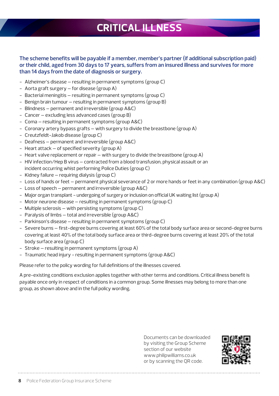# **CRITICAL ILLNESS**

**The scheme benefits will be payable if a member, member's partner (if additional subscription paid) or their child, aged from 30 days to 17 years, suffers from an insured illness and survives for more than 14 days from the date of diagnosis or surgery.**

- Alzheimer's disease resulting in permanent symptoms (group C)
- Aorta graft surgery for disease (group A)
- Bacterial meningitis resulting in permanent symptoms (group C)
- Benign brain tumour resulting in permanent symptoms (group B)
- Blindness permanent and irreversible (group A&C)
- Cancer excluding less advanced cases (group B)
- Coma resulting in permanent symptoms (group A&C)
- Coronary artery bypass grafts with surgery to divide the breastbone (group A)
- Creutzfeldt-Jakob disease (group C)
- Deafness permanent and irreversible (group A&C)
- Heart attack of specified severity (group A)
- Heart valve replacement or repair with surgery to divide the breastbone (group A)
- HIV infection/Hep B virus contracted from a blood transfusion, physical assault or an incident occurring whist performing Police Duties (group C)
- Kidney failure requiring dialysis (group C)
- Loss of hands or feet permanent physical severance of 2 or more hands or feet in any combination (group A&C)
- Loss of speech permanent and irreversible (group A&C)
- Major organ transplant undergoing of surgery or inclusion on official UK waiting list (group A)
- Motor neurone disease resulting in permanent symptoms (group C)
- Multiple sclerosis with persisting symptoms (group C)
- Paralysis of limbs total and irreversible (group A&C)
- Parkinson's disease resulting in permanent symptoms (group C)
- Severe burns first-degree burns covering at least 60% of the total body surface area or second-degree burns covering at least 40% of the total body surface area or third-degree burns covering at least 20% of the total body surface area (group C)
- Stroke resulting in permanent symptoms (group A)
- Traumatic head injury resulting in permanent symptoms (group A&C)

Please refer to the policy wording for full definitions of the illnesses covered.

A pre-existing conditions exclusion applies together with other terms and conditions. Critical illness benefit is payable once only in respect of conditions in a common group. Some illnesses may belong to more than one group, as shown above and in the full policy wording.

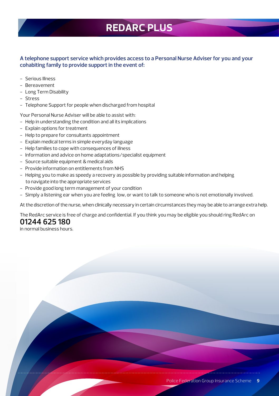# **REDARC PLUS**

## **A telephone support service which provides access to a Personal Nurse Adviser for you and your cohabiting family to provide support in the event of:**

- Serious Illness
- Bereavement
- Long Term Disability
- Stress
- Telephone Support for people when discharged from hospital

Your Personal Nurse Adviser will be able to assist with:

- Help in understanding the condition and all its implications
- Explain options for treatment
- Help to prepare for consultants appointment
- Explain medical terms in simple everyday language
- Help families to cope with consequences of illness
- Information and advice on home adaptations/specialist equipment
- Source suitable equipment & medical aids
- Provide information on entitlements from NHS
- Helping you to make as speedy a recovery as possible by providing suitable information and helping to navigate into the appropriate services
- Provide good long term management of your condition
- Simply a listening ear when you are feeling low, or want to talk to someone who is not emotionally involved.

At the discretion of the nurse, when clinically necessary in certain circumstances they may be able to arrange extra help.

The RedArc service is free of charge and confidential. If you think you may be eligible you should ring RedArc on

## **01244 625 180**

in normal business hours.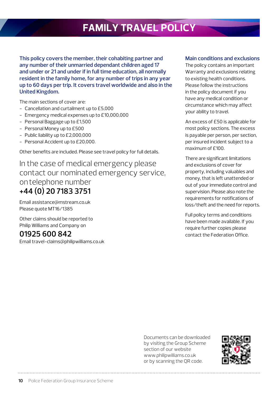# **FAMILY TRAVEL POLICY**

**This policy covers the member, their cohabiting partner and any number of their unmarried dependant children aged 17 and under or 21 and under if in full time education, all normally resident in the family home, for any number of trips in any year up to 60 days per trip. It covers travel worldwide and also in the United Kingdom.**

The main sections of cover are:

- Cancellation and curtailment up to £5,000
- Emergency medical expenses up to £10,000,000
- Personal Baggage up to £1,500
- Personal Money up to £500
- Public liability up to £2,000,000
- Personal Accident up to £20,000.

Other benefits are included. Please see travel policy for full details.

In the case of medical emergency please contact our nominated emergency service, ontelephone number **+44 (0) 20 7183 3751**

Email assistance@mstream.co.uk Please quote MT16/1385

Other claims should be reported to Philip Williams and Company on

# **01925 600 842**

Email travel-claims@philipwilliams.co.uk

#### **Main conditions and exclusions**

The policy contains an important Warranty and exclusions relating to existing health conditions. Please follow the instructions in the policy document if you have any medical condition or circumstance which may affect your ability to travel.

An excess of £50 is applicable for most policy sections. The excess is payable per person, per section, per insured incident subject to a maximum of £100.

There are significant limitations and exclusions of cover for property, including valuables and money, that is left unattended or out of your immediate control and supervision. Please also note the requirements for notifications of loss/theft and the need for reports.

Full policy terms and conditions have been made available. If you require further copies please contact the Federation Office.

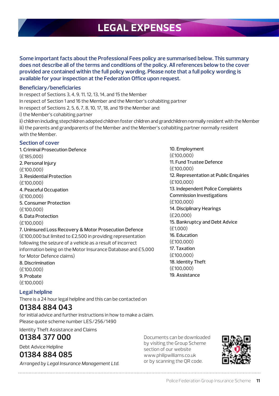# **LEGAL EXPENSES**

**Some important facts about the Professional Fees policy are summarised below. This summary does not describe all of the terms and conditions of the policy. All references below to the cover provided are contained within the full policy wording. Please note that a full policy wording is available for your inspection at the Federation Office upon request.**

### **Beneficiary/beneficiaries**

In respect of Sections 3, 4, 9, 11, 12, 13, 14, and 15 the Member

In respect of Section 1 and 16 the Member and the Member's cohabiting partner

In respect of Sections 2, 5, 6, 7, 8, 10, 17, 18, and 19 the Member and:

i) the Member's cohabiting partner

ii) children including stepchildren adopted children foster children and grandchildren normally resident with the Member iii) the parents and grandparents of the Member and the Member's cohabiting partner normally resident with the Member.

## **Section of cover**

1. Criminal Prosecution Defence (£185,000) 2. Personal Injury (£100,000) 3. Residential Protection  $(F100,000)$ 4. Peaceful Occupation (£100,000) 5. Consumer Protection (£100,000) 6. Data Protection (£100,000) 7. Uninsured Loss Recovery & Motor Prosecution Defence (£100,000 but limited to £2,500 in providing representation following the seizure of a vehicle as a result of incorrect information being on the Motor Insurance Database and £5,000 for Motor Defence claims) 8. Discrimination  $(F100,000)$ 9. Probate (£100,000)

## **Legal helpline**

There is a 24 hour legal helpline and this can be contacted on

# **01384 884 043**

for initial advice and further instructions in how to make a claim. Please quote scheme number LES/256/1490

Identity Theft Assistance and Claims

# **01384 377 000**

Debt Advice Helpline

# **01384 884 085**

*Arranged by Legal Insurance Management Ltd.*

Documents can be downloaded by visiting the Group Scheme section of our website www.philipwilliams.co.uk or by scanning the QR code.

19. Assistance



(£100,000) 11. Fund Trustee Defence (£100,000) 12. Representation at Public Enquiries  $(F100,000)$ 13. Independent Police Complaints Commission Investigations  $(F100,000)$ 14. Disciplinary Hearings (£20,000) 15. Bankruptcy and Debt Advice  $(F1000)$ 16. Education  $(F100,000)$ 17. Taxation (£100,000) 18. Identity Theft (£100,000)

10. Employment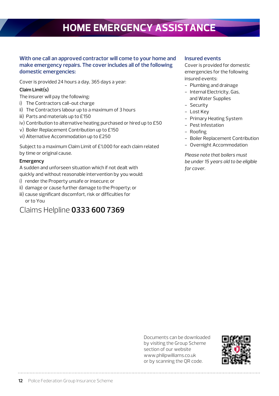# **HOME EMERGENCY ASSISTANCE**

### **With one call an approved contractor will come to your home and make emergency repairs. The cover includes all of the following domestic emergencies:**

Cover is provided 24 hours a day, 365 days a year:

### **Claim Limit(s)**

- The insurer will pay the following:
- i) The Contractors call-out charge
- ii) The Contractors labour up to a maximum of 3 hours
- iii) Parts and materials up to £150
- iv) Contribution to alternative heating purchased or hired up to £50
- v) Boiler Replacement Contribution up to £150
- vi) Alternative Accommodation up to £250

Subject to a maximum Claim Limit of £1,000 for each claim related by time or original cause.

### **Emergency**

A sudden and unforseen situation which if not dealt with quickly and without reasonable intervention by you would:

- i) render the Property unsafe or insecure; or
- ii) damage or cause further damage to the Property; or
- iii) cause significant discomfort, risk or difficulties for or to You

# Claims Helpline **0333 600 7369**

#### **Insured events**

Cover is provided for domestic emergencies for the following insured events:

- Plumbing and drainage
- Internal Electricity, Gas, and Water Supplies
- Security
- Lost Key
- Primary Heating System
- Pest Infestation
- Roofing
- Boiler Replacement Contribution
- Overnight Accommodation

*Please note that boilers must be under 15 years old to be eligible for cover.*

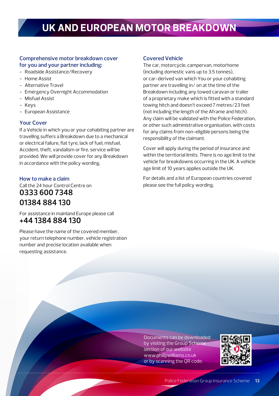# **UK AND EUROPEAN MOTOR BREAKDOWN**

### **Comprehensive motor breakdown cover for you and your partner including:**

- Roadside Assistance/Recovery
- Home Assist
- Alternative Travel
- Emergency Overnight Accommodation
- Misfuel Assist
- Keys
- European Assistance

## **Your Cover**

If a Vehicle in which you or your cohabiting partner are travelling suffers a Breakdown due to a mechanical or electrical failure, flat tyre, lack of fuel, misfuel, Accident, theft, vandalism or fire, service will be provided. We will provide cover for any Breakdown in accordance with the policy wording.

## **How to make a claim**

Call the 24 hour Control Centre on

# **0333 600 7348 01384 884 130**

For assistance in mainland Europe please call **+44 1384 884 130** 

Please have the name of the covered member, your return telephone number, vehicle registration number and precise location available when requesting assistance.

### **Covered Vehicle**

The car, motorcycle, campervan, motorhome (including domestic vans up to 3.5 tonnes), or car-derived van which You or your cohabiting partner are travelling in/ on at the time of the Breakdown including any towed caravan or trailer of a proprietary make which is fitted with a standard towing hitch and doesn't exceed 7 metres/23 feet (not including the length of the Aframe and hitch). Any claim will be validated with the Police Federation, or other such administrative organisation, with costs for any claims from non-eligible persons being the responsibility of the claimant.

Cover will apply during the period of insurance and within the territorial limits. There is no age limit to the vehicle for breakdowns occurring in the UK. A vehicle age limit of 10 years applies outside the UK.

For details and a list of European countries covered please see the full policy wording.

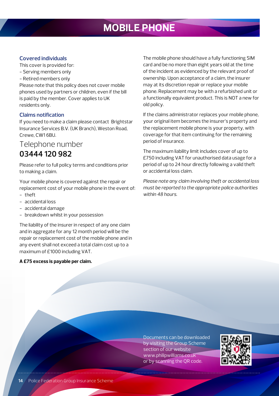# **MOBILE PHONE**

## **Covered individuals**

This cover is provided for:

- Serving members only
- Retired members only

Please note that this policy does not cover mobile phones used by partners or children, even if the bill is paid by the member. Cover applies to UK residents only.

## **Claims notification**

If you need to make a claim please contact Brightstar Insurance Services B.V. (UK Branch), Weston Road, Crewe, CW1 6BU.

# Telephone number **03444 120 982**

Please refer to full policy terms and conditions prior to making a claim.

Your mobile phone is covered against the repair or replacement cost of your mobile phone in the event of: - theft

- accidental loss
- accidental damage
- breakdown whilst in your possession

The liability of the insurer in respect of any one claim and in aggregate for any 12 month period will be the repair or replacement cost of the mobile phone and in any event shall not exceed a total claim cost up to a maximum of £1000 including VAT.

### **A £75 excess is payable per claim.**

The mobile phone should have a fully functioning SIM card and be no more than eight years old at the time of the incident as evidenced by the relevant proof of ownership. Upon acceptance of a claim, the insurer may at its discretion repair or replace your mobile phone. Replacement may be with a refurbished unit or a functionally equivalent product. This is NOT a new for old policy.

If the claims administrator replaces your mobile phone, your original item becomes the insurer's property and the replacement mobile phone is your property, with coverage for that item continuing for the remaining period of insurance.

The maximum liability limit includes cover of up to £750 including VAT for unauthorised data usage for a period of up to 24 hour directly following a valid theft or accidental loss claim.

*Please note any claim involving theft or accidental loss must be reported to the appropriate police authorities within 48 hours.*

Documents can be downloaded by visiting the Group Scheme section of our website www.philipwilliams.co.uk or by scanning the QR code.

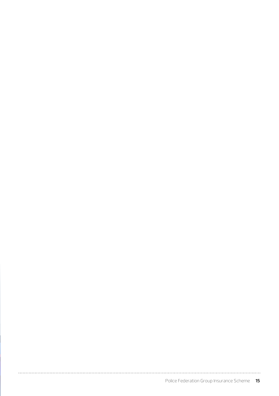#### Police Federation Group Insurance Scheme **15**